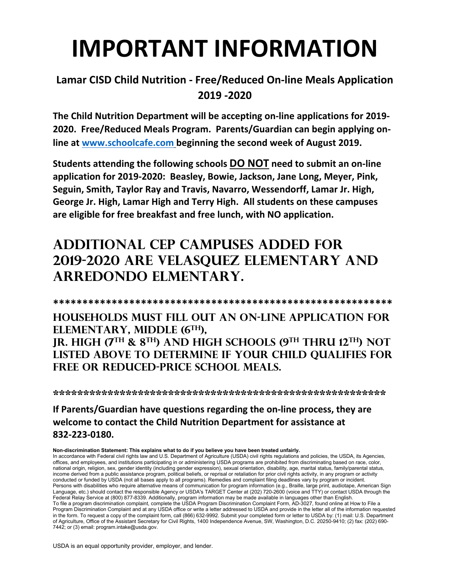## **IMPORTANT INFORMATION**

#### **Lamar CISD Child Nutrition ‐ Free/Reduced On‐line Meals Application 2019 ‐2020**

**The Child Nutrition Department will be accepting on‐line applications for 2019‐ 2020. Free/Reduced Meals Program. Parents/Guardian can begin applying on‐ line at www.schoolcafe.com beginning the second week of August 2019.** 

**Students attending the following schools DO NOT need to submit an on‐line application for 2019‐2020: Beasley, Bowie, Jackson, Jane Long, Meyer, Pink, Seguin, Smith, Taylor Ray and Travis, Navarro, Wessendorff, Lamar Jr. High, George Jr. High, Lamar High and Terry High. All students on these campuses are eligible for free breakfast and free lunch, with NO application.** 

## **ADDITIONAL CEP CAMPUSES ADDED FOR 2019-2020 ARE VELASQUEZ ELEMENTARY AND ARREDONDO ELMENTARY.**

**\*\*\*\*\*\*\*\*\*\*\*\*\*\*\*\*\*\*\*\*\*\*\*\*\*\*\*\*\*\*\*\*\*\*\*\*\*\*\*\*\*\*\*\*\*\*\*\*\*\*\*\*\*\*\*\*\*\* Households must fill out an on-line application for elementary, MIDDLE (6TH), JR. HIGH (7TH & 8TH) AND high schools (9TH THRU 12TH) not listed above TO determine if your child qualifies for** 

**\*\*\*\*\*\*\*\*\*\*\*\*\*\*\*\*\*\*\*\*\*\*\*\*\*\*\*\*\*\*\*\*\*\*\*\*\*\*\*\*\*\*\*\*\*\*\*\*\*\*\*\*\*\*\*** 

#### **If Parents/Guardian have questions regarding the on‐line process, they are welcome to contact the Child Nutrition Department for assistance at 832‐223‐0180.**

**Non-discrimination Statement: This explains what to do if you believe you have been treated unfairly.** 

**free OR reduced-price school meals.** 

In accordance with Federal civil rights law and U.S. Department of Agriculture (USDA) civil rights regulations and policies, the USDA, its Agencies, offices, and employees, and institutions participating in or administering USDA programs are prohibited from discriminating based on race, color, national origin, religion, sex, gender identity (including gender expression), sexual orientation, disability, age, marital status, family/parental status, income derived from a public assistance program, political beliefs, or reprisal or retaliation for prior civil rights activity, in any program or activity conducted or funded by USDA (not all bases apply to all programs). Remedies and complaint filing deadlines vary by program or incident. Persons with disabilities who require alternative means of communication for program information (e.g., Braille, large print, audiotape, American Sign Language, etc.) should contact the responsible Agency or USDA's TARGET Center at (202) 720-2600 (voice and TTY) or contact USDA through the Federal Relay Service at (800) 877-8339. Additionally, program information may be made available in languages other than English. To file a program discrimination complaint, complete the USDA Program Discrimination Complaint Form, AD-3027, found online at How to File a Program Discrimination Complaint and at any USDA office or write a letter addressed to USDA and provide in the letter all of the information requested in the form. To request a copy of the complaint form, call (866) 632-9992. Submit your completed form or letter to USDA by: (1) mail: U.S. Department of Agriculture, Office of the Assistant Secretary for Civil Rights, 1400 Independence Avenue, SW, Washington, D.C. 20250-9410; (2) fax: (202) 690- 7442; or (3) email: program.intake@usda.gov.

USDA is an equal opportunity provider, employer, and lender.